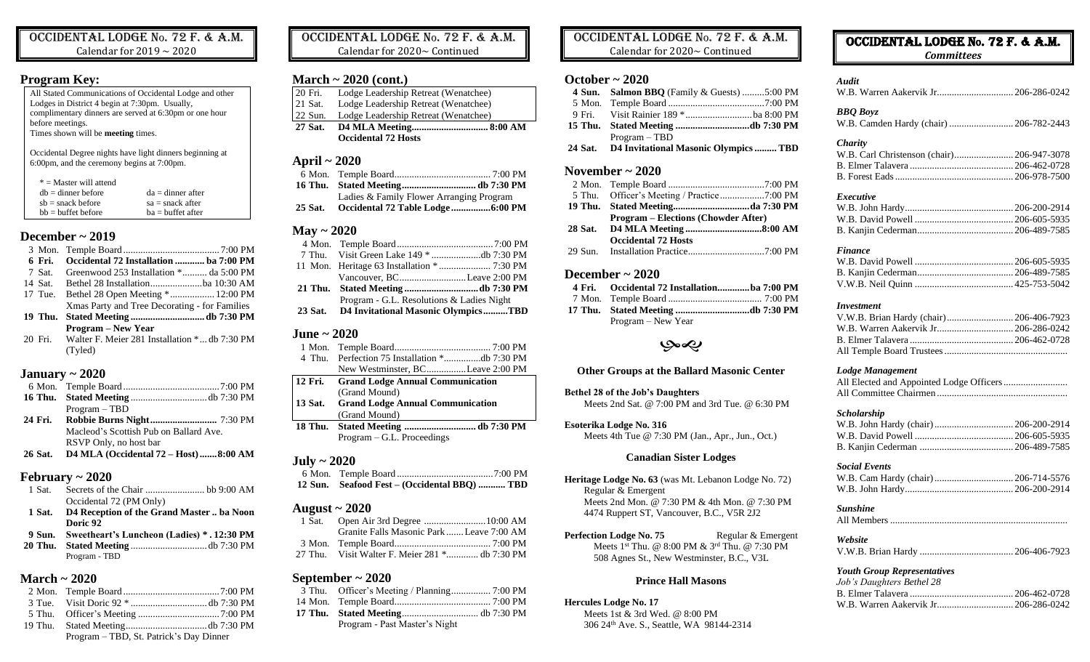Occidental Lodge No. 72 F. & A.M. Calendar for 2019  $\sim$  2020

### **Program Key:**

All Stated Communications of Occidental Lodge and other Lodges in District 4 begin at 7:30pm. Usually, complimentary dinners are served at 6:30pm or one hour before meetings. Times shown will be **meeting** times.

Occidental Degree nights have light dinners beginning at 6:00pm, and the ceremony begins at 7:00pm.

| $* =$ Master will attend |                     |
|--------------------------|---------------------|
| $dh =$ dinner before     | $da =$ dinner after |
| $sb =$ snack before      | $sa =$ snack after  |
| $hh = huffet before$     | $ba = buffer$ after |

# **December ~ 2019**

| 6 Fri. | Occidental 72 Installation  ba 7:00 PM                |  |
|--------|-------------------------------------------------------|--|
| 7 Sat. | Greenwood 253 Installation * da 5:00 PM               |  |
|        |                                                       |  |
|        | 17 Tue. Bethel 28 Open Meeting * 12:00 PM             |  |
|        | Xmas Party and Tree Decorating - for Families         |  |
|        |                                                       |  |
|        | <b>Program – New Year</b>                             |  |
|        | 20 Fri. Walter F. Meier 281 Installation * db 7:30 PM |  |
|        | (Tyled)                                               |  |

# **January ~ 2020**

|       | $Program - TBD$                                                                                                                                                                                                                                                                                  |  |
|-------|--------------------------------------------------------------------------------------------------------------------------------------------------------------------------------------------------------------------------------------------------------------------------------------------------|--|
|       |                                                                                                                                                                                                                                                                                                  |  |
|       | Macleod's Scottish Pub on Ballard Ave.                                                                                                                                                                                                                                                           |  |
|       | RSVP Only, no host bar                                                                                                                                                                                                                                                                           |  |
| 26.01 | $\mathbf{D}$ and $\mathbf{D}$ and $\mathbf{D}$ and $\mathbf{D}$ and $\mathbf{D}$ and $\mathbf{D}$ and $\mathbf{D}$ and $\mathbf{D}$ and $\mathbf{D}$ and $\mathbf{D}$ and $\mathbf{D}$ and $\mathbf{D}$ and $\mathbf{D}$ and $\mathbf{D}$ and $\mathbf{D}$ and $\mathbf{D}$ and $\mathbf{D}$ and |  |

#### **26 Sat. D4 MLA (Occidental 72 – Host).......8:00 AM**

# **February ~ 2020**

- 1 Sat. Secrets of the Chair ........................ bb 9:00 AM Occidental 72 (PM Only)
- **1 Sat. D4 Reception of the Grand Master .. ba Noon Doric 92**
- **9 Sun. Sweetheart's Luncheon (Ladies) \* . 12:30 PM 20 Thu. Stated Meeting** ...............................db 7:30 PM
- Program TBD

# **March ~ 2020**

| Program – TBD, St. Patrick's Day Dinner |  |
|-----------------------------------------|--|

Occidental Lodge No. 72 F. & A.M. Calendar for 2020~ Continued

# **March ~ 2020 (cont.)**

- 20 Fri. Lodge Leadership Retreat (Wenatchee)
- 21 Sat. Lodge Leadership Retreat (Wenatchee) 22 Sun. Lodge Leadership Retreat (Wenatchee)
- **27 Sat. D4 MLA Meeting............................... 8:00 AM**
- **Occidental 72 Hosts**

# **April ~ 2020**

| Ladies & Family Flower Arranging Program |  |
|------------------------------------------|--|
|                                          |  |

## **May ~ 2020**

| Vancouver, BCLeave 2:00 PM                  |  |
|---------------------------------------------|--|
|                                             |  |
| Program - G.L. Resolutions & Ladies Night   |  |
| 23 Sat. D4 Invitational Masonic OlympicsTBD |  |

# **June ~ 2020**

| 4 Thu.         |                                         |
|----------------|-----------------------------------------|
|                | New Westminster, BCLeave 2:00 PM        |
| 12 Fri.        | <b>Grand Lodge Annual Communication</b> |
|                | (Grand Mound)                           |
| 13 Sat.        | <b>Grand Lodge Annual Communication</b> |
|                | (Grand Mound)                           |
| <b>18 Thu.</b> |                                         |
|                | $Program - G.L. Proceedings$            |
|                |                                         |

### **July ~ 2020**

| 12 Sun. Seafood Fest – (Occidental BBQ)  TBD |  |
|----------------------------------------------|--|

# **August ~ 2020**

| Granite Falls Masonic Park  Leave 7:00 AM      |  |
|------------------------------------------------|--|
|                                                |  |
| 27 Thu. Visit Walter F. Meier 281 * db 7:30 PM |  |
|                                                |  |

# **September ~ 2020**

| Program - Past Master's Night |  |
|-------------------------------|--|

# Occidental Lodge No. 72 F. & A.M.

Calendar for 2020~ Continued

# **October ~ 2020**

| 4 Sun. Salmon BBQ (Family & Guests) 5:00 PM |  |
|---------------------------------------------|--|
|                                             |  |
|                                             |  |
|                                             |  |
|                                             |  |
| $Program - TBD$                             |  |

# **November ~ 2020**

|         | <b>Program – Elections (Chowder After)</b> |  |
|---------|--------------------------------------------|--|
| 28 Sat. |                                            |  |
|         | <b>Occidental 72 Hosts</b>                 |  |
|         |                                            |  |
|         |                                            |  |

### **December ~ 2020**

| 4 Fri. Occidental 72 Installationba 7:00 PM |  |
|---------------------------------------------|--|
|                                             |  |
|                                             |  |
| Program – New Year                          |  |

# بهمي

#### **Other Groups at the Ballard Masonic Center**

**Bethel 28 of the Job's Daughters** Meets 2nd Sat. @ 7:00 PM and 3rd Tue. @ 6:30 PM

**Esoterika Lodge No. 316** Meets 4th Tue @ 7:30 PM (Jan., Apr., Jun., Oct.)

#### **Canadian Sister Lodges**

**Heritage Lodge No. 63** (was Mt. Lebanon Lodge No. 72) Regular & Emergent Meets 2nd Mon. @ 7:30 PM & 4th Mon. @ 7:30 PM 4474 Ruppert ST, Vancouver, B.C., V5R 2J2

**Perfection Lodge No. 75** Regular & Emergent Meets 1st Thu. @ 8:00 PM & 3rd Thu. @ 7:30 PM 508 Agnes St., New Westminster, B.C., V3L

#### **Prince Hall Masons**

#### **Hercules Lodge No. 17**

Meets 1st & 3rd Wed. @ 8:00 PM 306 24th Ave. S., Seattle, WA 98144-2314

| OCCIDENTAL LODGE No. 72 F. & A.M. |  |  |  |
|-----------------------------------|--|--|--|
|                                   |  |  |  |

*Committees*

| <b>Audit</b>                                               |  |
|------------------------------------------------------------|--|
| <b>BBO</b> Boyz<br>W.B. Camden Hardy (chair)  206-782-2443 |  |
| <i>Charity</i>                                             |  |
|                                                            |  |
|                                                            |  |
|                                                            |  |
| Executive                                                  |  |
|                                                            |  |
|                                                            |  |
|                                                            |  |
| <b>Finance</b>                                             |  |
|                                                            |  |
|                                                            |  |

#### *Investment*

V.W.B. Neil Quinn ........................................ 425-753-5042

#### *Lodge Management*

All Elected and Appointed Lodge Officers.......................... All Committee Chairmen .....................................................

#### *Scholarship*

#### *Social Events*

#### *Sunshine*

All Members........................................................................

#### *Website* V.W.B. Brian Hardy ...................................... 206-406-7923

### *Youth Group Representatives*

| Job's Daughters Bethel 28 |  |
|---------------------------|--|
|                           |  |
|                           |  |